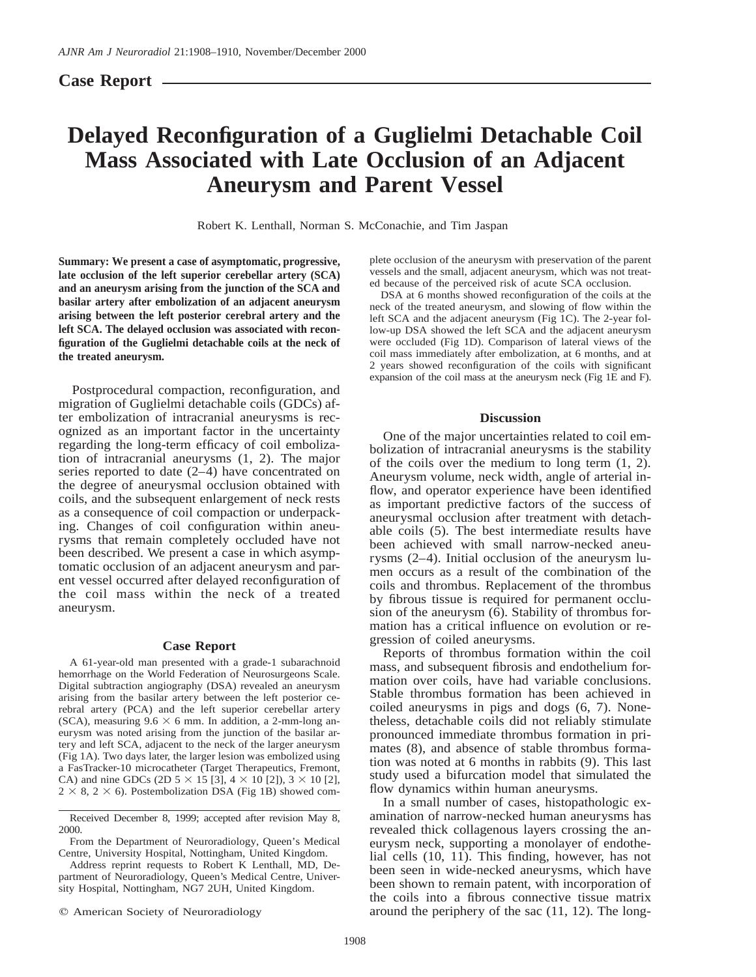# **Case Report**

# **Delayed Reconfiguration of a Guglielmi Detachable Coil Mass Associated with Late Occlusion of an Adjacent Aneurysm and Parent Vessel**

Robert K. Lenthall, Norman S. McConachie, and Tim Jaspan

**Summary: We present a case of asymptomatic, progressive, late occlusion of the left superior cerebellar artery (SCA) and an aneurysm arising from the junction of the SCA and basilar artery after embolization of an adjacent aneurysm arising between the left posterior cerebral artery and the left SCA. The delayed occlusion was associated with reconfiguration of the Guglielmi detachable coils at the neck of the treated aneurysm.**

Postprocedural compaction, reconfiguration, and migration of Guglielmi detachable coils (GDCs) after embolization of intracranial aneurysms is recognized as an important factor in the uncertainty regarding the long-term efficacy of coil embolization of intracranial aneurysms (1, 2). The major series reported to date (2–4) have concentrated on the degree of aneurysmal occlusion obtained with coils, and the subsequent enlargement of neck rests as a consequence of coil compaction or underpacking. Changes of coil configuration within aneurysms that remain completely occluded have not been described. We present a case in which asymptomatic occlusion of an adjacent aneurysm and parent vessel occurred after delayed reconfiguration of the coil mass within the neck of a treated aneurysm.

#### **Case Report**

A 61-year-old man presented with a grade-1 subarachnoid hemorrhage on the World Federation of Neurosurgeons Scale. Digital subtraction angiography (DSA) revealed an aneurysm arising from the basilar artery between the left posterior cerebral artery (PCA) and the left superior cerebellar artery (SCA), measuring  $9.6 \times 6$  mm. In addition, a 2-mm-long aneurysm was noted arising from the junction of the basilar artery and left SCA, adjacent to the neck of the larger aneurysm (Fig 1A). Two days later, the larger lesion was embolized using a FasTracker-10 microcatheter (Target Therapeutics, Fremont, CA) and nine GDCs (2D  $5 \times 15$  [3],  $4 \times 10$  [2]),  $3 \times 10$  [2],  $2 \times 8$ ,  $2 \times 6$ ). Postembolization DSA (Fig 1B) showed com-

Received December 8, 1999; accepted after revision May 8, 2000.

Address reprint requests to Robert K Lenthall, MD, Department of Neuroradiology, Queen's Medical Centre, University Hospital, Nottingham, NG7 2UH, United Kingdom.

 $Q$  American Society of Neuroradiology

plete occlusion of the aneurysm with preservation of the parent vessels and the small, adjacent aneurysm, which was not treated because of the perceived risk of acute SCA occlusion.

DSA at 6 months showed reconfiguration of the coils at the neck of the treated aneurysm, and slowing of flow within the left SCA and the adjacent aneurysm (Fig 1C). The 2-year follow-up DSA showed the left SCA and the adjacent aneurysm were occluded (Fig 1D). Comparison of lateral views of the coil mass immediately after embolization, at 6 months, and at 2 years showed reconfiguration of the coils with significant expansion of the coil mass at the aneurysm neck (Fig 1E and F).

### **Discussion**

One of the major uncertainties related to coil embolization of intracranial aneurysms is the stability of the coils over the medium to long term (1, 2). Aneurysm volume, neck width, angle of arterial inflow, and operator experience have been identified as important predictive factors of the success of aneurysmal occlusion after treatment with detachable coils (5). The best intermediate results have been achieved with small narrow-necked aneurysms (2–4). Initial occlusion of the aneurysm lumen occurs as a result of the combination of the coils and thrombus. Replacement of the thrombus by fibrous tissue is required for permanent occlusion of the aneurysm (6). Stability of thrombus formation has a critical influence on evolution or regression of coiled aneurysms.

Reports of thrombus formation within the coil mass, and subsequent fibrosis and endothelium formation over coils, have had variable conclusions. Stable thrombus formation has been achieved in coiled aneurysms in pigs and dogs (6, 7). Nonetheless, detachable coils did not reliably stimulate pronounced immediate thrombus formation in primates (8), and absence of stable thrombus formation was noted at 6 months in rabbits (9). This last study used a bifurcation model that simulated the flow dynamics within human aneurysms.

In a small number of cases, histopathologic examination of narrow-necked human aneurysms has revealed thick collagenous layers crossing the aneurysm neck, supporting a monolayer of endothelial cells (10, 11). This finding, however, has not been seen in wide-necked aneurysms, which have been shown to remain patent, with incorporation of the coils into a fibrous connective tissue matrix around the periphery of the sac (11, 12). The long-

From the Department of Neuroradiology, Queen's Medical Centre, University Hospital, Nottingham, United Kingdom.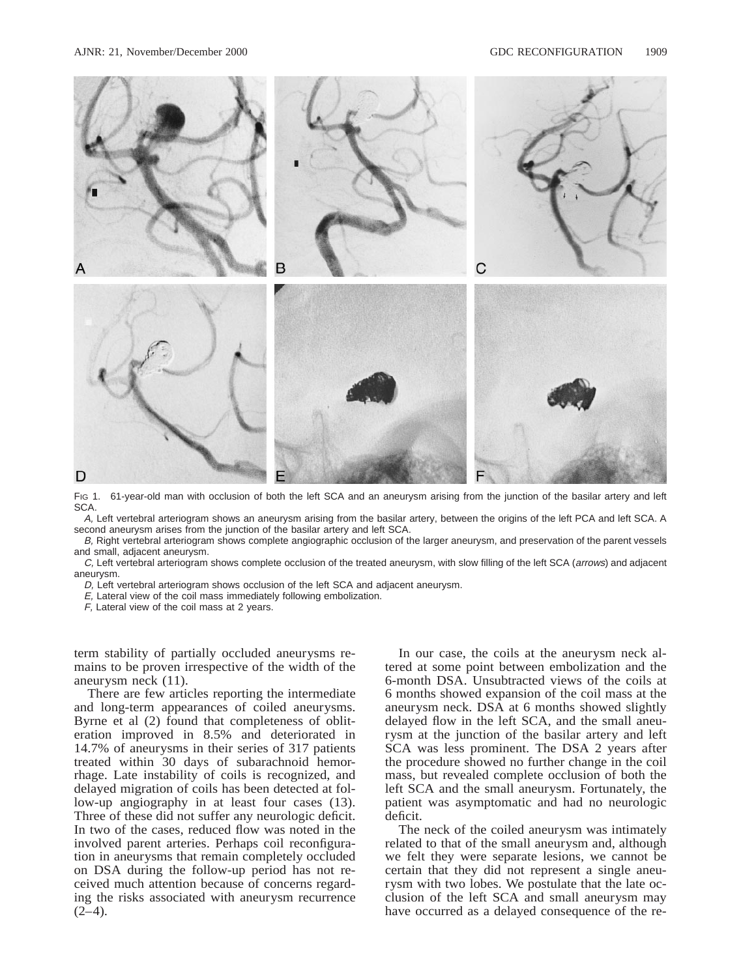

Fig 1. 61-year-old man with occlusion of both the left SCA and an aneurysm arising from the junction of the basilar artery and left SCA.

A, Left vertebral arteriogram shows an aneurysm arising from the basilar artery, between the origins of the left PCA and left SCA. A second aneurysm arises from the junction of the basilar artery and left SCA.

B, Right vertebral arteriogram shows complete angiographic occlusion of the larger aneurysm, and preservation of the parent vessels and small, adjacent aneurysm.

C, Left vertebral arteriogram shows complete occlusion of the treated aneurysm, with slow filling of the left SCA (arrows) and adjacent aneurysm.

D, Left vertebral arteriogram shows occlusion of the left SCA and adjacent aneurysm.

E, Lateral view of the coil mass immediately following embolization.

F, Lateral view of the coil mass at 2 years.

term stability of partially occluded aneurysms remains to be proven irrespective of the width of the aneurysm neck (11).

There are few articles reporting the intermediate and long-term appearances of coiled aneurysms. Byrne et al (2) found that completeness of obliteration improved in 8.5% and deteriorated in 14.7% of aneurysms in their series of 317 patients treated within 30 days of subarachnoid hemorrhage. Late instability of coils is recognized, and delayed migration of coils has been detected at follow-up angiography in at least four cases (13). Three of these did not suffer any neurologic deficit. In two of the cases, reduced flow was noted in the involved parent arteries. Perhaps coil reconfiguration in aneurysms that remain completely occluded on DSA during the follow-up period has not received much attention because of concerns regarding the risks associated with aneurysm recurrence  $(2-4)$ .

In our case, the coils at the aneurysm neck altered at some point between embolization and the 6-month DSA. Unsubtracted views of the coils at 6 months showed expansion of the coil mass at the aneurysm neck. DSA at 6 months showed slightly delayed flow in the left SCA, and the small aneurysm at the junction of the basilar artery and left SCA was less prominent. The DSA 2 years after the procedure showed no further change in the coil mass, but revealed complete occlusion of both the left SCA and the small aneurysm. Fortunately, the patient was asymptomatic and had no neurologic deficit.

The neck of the coiled aneurysm was intimately related to that of the small aneurysm and, although we felt they were separate lesions, we cannot be certain that they did not represent a single aneurysm with two lobes. We postulate that the late occlusion of the left SCA and small aneurysm may have occurred as a delayed consequence of the re